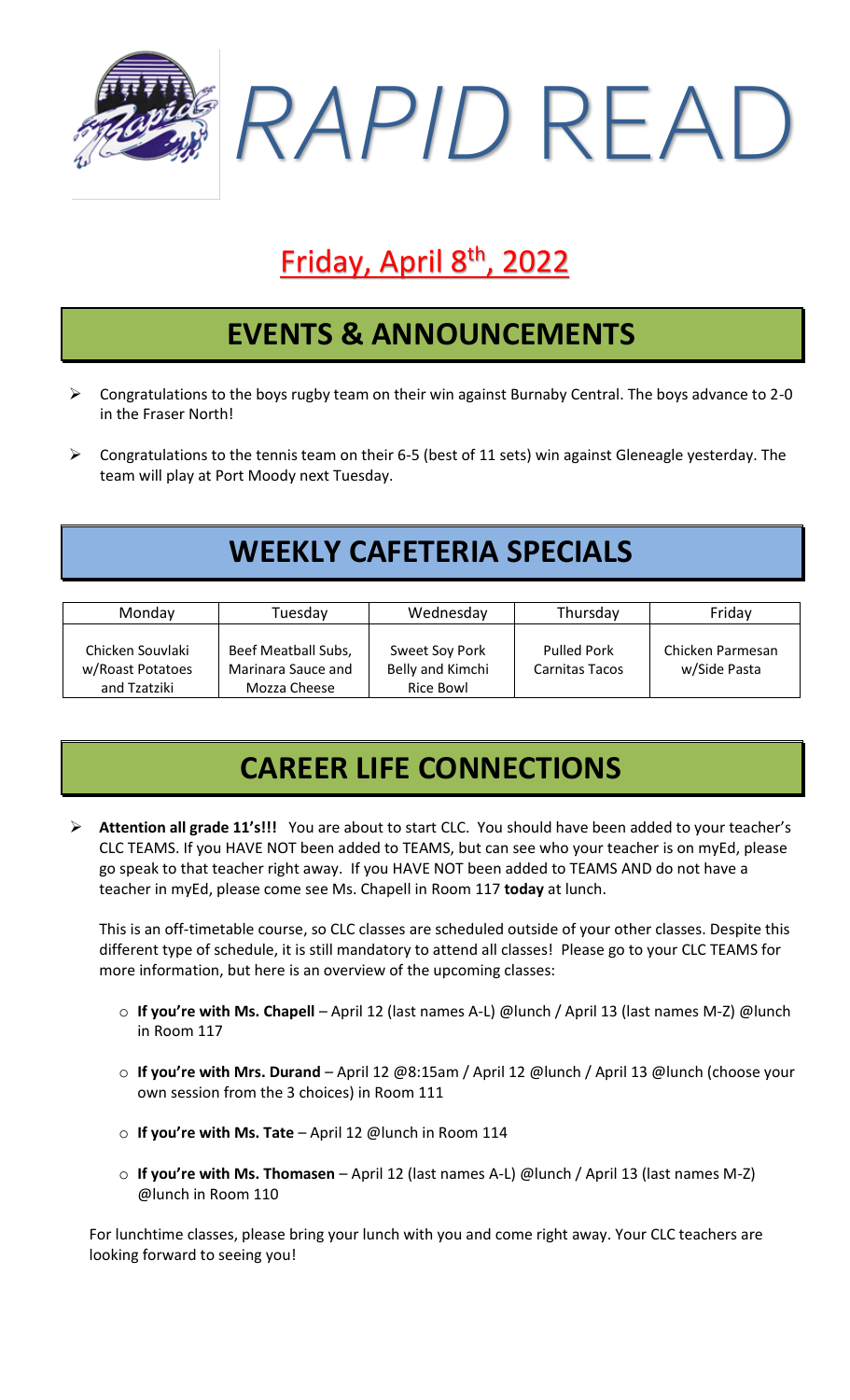

# **Friday, April 8<sup>th</sup>, 2022**

#### **EVENTS & ANNOUNCEMENTS**

- $\triangleright$  Congratulations to the boys rugby team on their win against Burnaby Central. The boys advance to 2-0 in the Fraser North!
- ➢ Congratulations to the tennis team on their 6-5 (best of 11 sets) win against Gleneagle yesterday. The team will play at Port Moody next Tuesday.

## **WEEKLY CAFETERIA SPECIALS**

| Monday                                               | Tuesdav                                                   | Wednesday                                       | Thursday                             | Friday                           |
|------------------------------------------------------|-----------------------------------------------------------|-------------------------------------------------|--------------------------------------|----------------------------------|
| Chicken Souvlaki<br>w/Roast Potatoes<br>and Tzatziki | Beef Meatball Subs,<br>Marinara Sauce and<br>Mozza Cheese | Sweet Soy Pork<br>Belly and Kimchi<br>Rice Bowl | <b>Pulled Pork</b><br>Carnitas Tacos | Chicken Parmesan<br>w/Side Pasta |

# **CAREER LIFE CONNECTIONS**

➢ **Attention all grade 11's!!!** You are about to start CLC. You should have been added to your teacher's CLC TEAMS. If you HAVE NOT been added to TEAMS, but can see who your teacher is on myEd, please go speak to that teacher right away. If you HAVE NOT been added to TEAMS AND do not have a teacher in myEd, please come see Ms. Chapell in Room 117 **today** at lunch.

This is an off-timetable course, so CLC classes are scheduled outside of your other classes. Despite this different type of schedule, it is still mandatory to attend all classes! Please go to your CLC TEAMS for more information, but here is an overview of the upcoming classes:

- o **If you're with Ms. Chapell** April 12 (last names A-L) @lunch / April 13 (last names M-Z) @lunch in Room 117
- o **If you're with Mrs. Durand** April 12 @8:15am / April 12 @lunch / April 13 @lunch (choose your own session from the 3 choices) in Room 111
- o **If you're with Ms. Tate** April 12 @lunch in Room 114
- o **If you're with Ms. Thomasen** April 12 (last names A-L) @lunch / April 13 (last names M-Z) @lunch in Room 110

For lunchtime classes, please bring your lunch with you and come right away. Your CLC teachers are looking forward to seeing you!